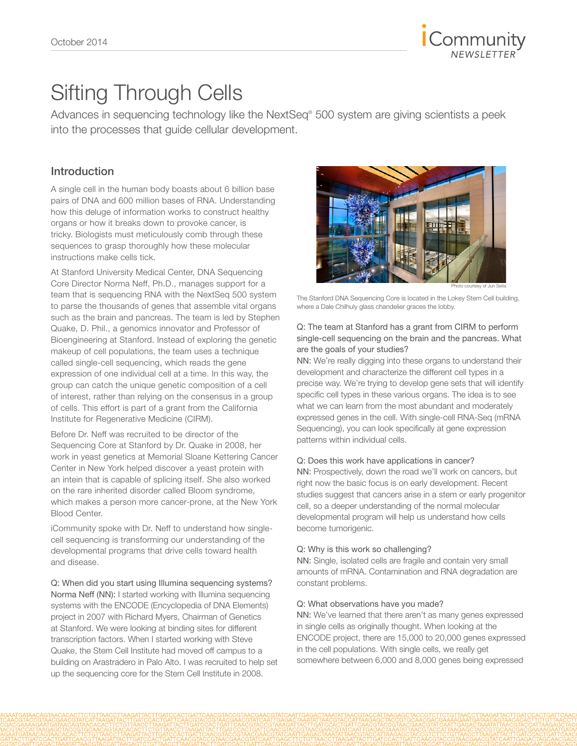

# Sifting Through Cells

Advances in sequencing technology like the NextSeq® 500 system are giving scientists a peek into the processes that guide cellular development.

### Introduction

A single cell in the human body boasts about 6 billion base pairs of DNA and 600 million bases of RNA. Understanding how this deluge of information works to construct healthy organs or how it breaks down to provoke cancer, is tricky. Biologists must meticulously comb through these sequences to grasp thoroughly how these molecular instructions make cells tick.

At Stanford University Medical Center, DNA Sequencing Core Director Norma Neff, Ph.D., manages support for a team that is sequencing RNA with the NextSeq 500 system to parse the thousands of genes that assemble vital organs such as the brain and pancreas. The team is led by Stephen Quake, D. Phil., a genomics innovator and Professor of Bioengineering at Stanford. Instead of exploring the genetic makeup of cell populations, the team uses a technique called single-cell sequencing, which reads the gene expression of one individual cell at a time. In this way, the group can catch the unique genetic composition of a cell of interest, rather than relying on the consensus in a group of cells. This effort is part of a grant from the California Institute for Regenerative Medicine (CIRM).

Before Dr. Neff was recruited to be director of the Sequencing Core at Stanford by Dr. Quake in 2008, her work in yeast genetics at Memorial Sloane Kettering Cancer Center in New York helped discover a yeast protein with an intein that is capable of splicing itself. She also worked on the rare inherited disorder called Bloom syndrome, which makes a person more cancer-prone, at the New York Blood Center.

iCommunity spoke with Dr. Neff to understand how singlecell sequencing is transforming our understanding of the developmental programs that drive cells toward health and disease.

Q: When did you start using Illumina sequencing systems? Norma Neff (NN): I started working with Illumina sequencing systems with the ENCODE (Encyclopedia of DNA Elements) project in 2007 with Richard Myers, Chairman of Genetics at Stanford. We were looking at binding sites for different transcription factors. When I started working with Steve Quake, the Stem Cell Institute had moved off campus to a building on Arastradero in Palo Alto. I was recruited to help set up the sequencing core for the Stem Cell Institute in 2008.



Photo courtesy of Jun Seita

The Stanford DNA Sequencing Core is located in the Lokey Stem Cell building, where a Dale Chilhuly glass chandelier graces the lobby.

### Q: The team at Stanford has a grant from CIRM to perform single-cell sequencing on the brain and the pancreas. What are the goals of your studies?

NN: We're really digging into these organs to understand their development and characterize the different cell types in a precise way. We're trying to develop gene sets that will identify specific cell types in these various organs. The idea is to see what we can learn from the most abundant and moderately expressed genes in the cell. With single-cell RNA-Seq (mRNA Sequencing), you can look specifically at gene expression patterns within individual cells.

#### Q: Does this work have applications in cancer?

NN: Prospectively, down the road we'll work on cancers, but right now the basic focus is on early development. Recent studies suggest that cancers arise in a stem or early progenitor cell, so a deeper understanding of the normal molecular developmental program will help us understand how cells become tumorigenic.

### Q: Why is this work so challenging?

NN: Single, isolated cells are fragile and contain very small amounts of mRNA. Contamination and RNA degradation are constant problems.

#### Q: What observations have you made?

NN: We've learned that there aren't as many genes expressed in single cells as originally thought. When looking at the ENCODE project, there are 15,000 to 20,000 genes expressed in the cell populations. With single cells, we really get somewhere between 6,000 and 8,000 genes being expressed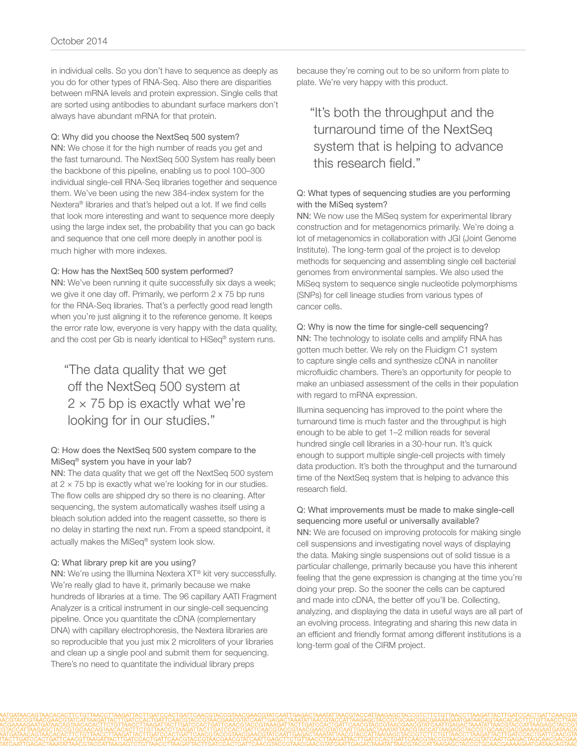in individual cells. So you don't have to sequence as deeply as you do for other types of RNA-Seq. Also there are disparities between mRNA levels and protein expression. Single cells that are sorted using antibodies to abundant surface markers don't always have abundant mRNA for that protein.

### Q: Why did you choose the NextSeq 500 system?

NN: We chose it for the high number of reads you get and the fast turnaround. The NextSeq 500 System has really been the backbone of this pipeline, enabling us to pool 100–300 individual single-cell RNA-Seq libraries together and sequence them. We've been using the new 384-index system for the Nextera® libraries and that's helped out a lot. If we find cells that look more interesting and want to sequence more deeply using the large index set, the probability that you can go back and sequence that one cell more deeply in another pool is much higher with more indexes.

### Q: How has the NextSeq 500 system performed?

NN: We've been running it quite successfully six days a week; we give it one day off. Primarily, we perform 2 x 75 bp runs for the RNA-Seq libraries. That's a perfectly good read length when you're just aligning it to the reference genome. It keeps the error rate low, everyone is very happy with the data quality, and the cost per Gb is nearly identical to HiSeq® system runs.

## "The data quality that we get off the NextSeq 500 system at  $2 \times 75$  bp is exactly what we're looking for in our studies."

### Q: How does the NextSeq 500 system compare to the MiSeq® system you have in your lab?

NN: The data quality that we get off the NextSeq 500 system at  $2 \times 75$  bp is exactly what we're looking for in our studies. The flow cells are shipped dry so there is no cleaning. After sequencing, the system automatically washes itself using a bleach solution added into the reagent cassette, so there is no delay in starting the next run. From a speed standpoint, it actually makes the MiSeq® system look slow.

### Q: What library prep kit are you using?

NN: We're using the Illumina Nextera XT® kit very successfully. We're really glad to have it, primarily because we make hundreds of libraries at a time. The 96 capillary AATI Fragment Analyzer is a critical instrument in our single-cell sequencing pipeline. Once you quantitate the cDNA (complementary DNA) with capillary electrophoresis, the Nextera libraries are so reproducible that you just mix 2 microliters of your libraries and clean up a single pool and submit them for sequencing. There's no need to quantitate the individual library preps

because they're coming out to be so uniform from plate to plate. We're very happy with this product.

### "It's both the throughput and the turnaround time of the NextSeq system that is helping to advance this research field."

### Q: What types of sequencing studies are you performing with the MiSeq system?

NN: We now use the MiSeq system for experimental library construction and for metagenomics primarily. We're doing a lot of metagenomics in collaboration with JGI (Joint Genome Institute). The long-term goal of the project is to develop methods for sequencing and assembling single cell bacterial genomes from environmental samples. We also used the MiSeq system to sequence single nucleotide polymorphisms (SNPs) for cell lineage studies from various types of cancer cells.

### Q: Why is now the time for single-cell sequencing?

NN: The technology to isolate cells and amplify RNA has gotten much better. We rely on the Fluidigm C1 system to capture single cells and synthesize cDNA in nanoliter microfluidic chambers. There's an opportunity for people to make an unbiased assessment of the cells in their population with regard to mRNA expression.

Illumina sequencing has improved to the point where the turnaround time is much faster and the throughput is high enough to be able to get 1–2 million reads for several hundred single cell libraries in a 30-hour run. It's quick enough to support multiple single-cell projects with timely data production. It's both the throughput and the turnaround time of the NextSeq system that is helping to advance this research field.

### Q: What improvements must be made to make single-cell sequencing more useful or universally available?

NN: We are focused on improving protocols for making single cell suspensions and investigating novel ways of displaying the data. Making single suspensions out of solid tissue is a particular challenge, primarily because you have this inherent feeling that the gene expression is changing at the time you're doing your prep. So the sooner the cells can be captured and made into cDNA, the better off you'll be. Collecting, analyzing, and displaying the data in useful ways are all part of an evolving process. Integrating and sharing this new data in an efficient and friendly format among different institutions is a long-term goal of the CIRM project.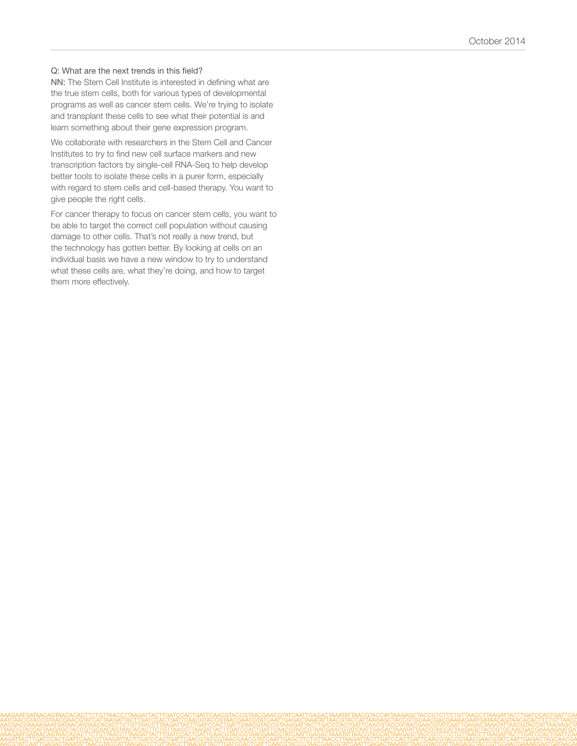### Q: What are the next trends in this field?

NN: The Stem Cell Institute is interested in defining what are the true stem cells, both for various types of developmental programs as well as cancer stem cells. We're trying to isolate and transplant these cells to see what their potential is and learn something about their gene expression program.

We collaborate with researchers in the Stem Cell and Cancer Institutes to try to find new cell surface markers and new transcription factors by single-cell RNA-Seq to help develop better tools to isolate these cells in a purer form, especially with regard to stem cells and cell-based therapy. You want to give people the right cells.

For cancer therapy to focus on cancer stem cells, you want to be able to target the correct cell population without causing damage to other cells. That's not really a new trend, but the technology has gotten better. By looking at cells on an individual basis we have a new window to try to understand what these cells are, what they're doing, and how to target them more effectively.